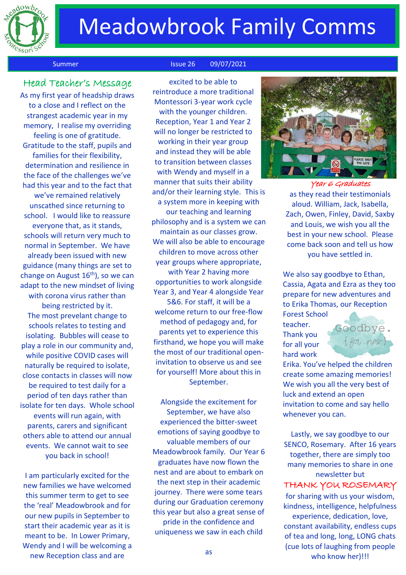

## **Meadowbrook Family Comms**

#### Summer Issue 26 09/07/2021

### Head Teacher's Message

As my first year of headship draws to a close and I reflect on the strangest academic year in my memory, I realise my overriding feeling is one of gratitude. Gratitude to the staff, pupils and families for their flexibility, determination and resilience in the face of the challenges we've had this year and to the fact that we've remained relatively unscathed since returning to school. I would like to reassure everyone that, as it stands, schools will return very much to normal in September. We have already been issued with new guidance (many things are set to change on August  $16<sup>th</sup>$ ), so we can adapt to the new mindset of living with corona virus rather than being restricted by it. The most prevelant change to schools relates to testing and isolating. Bubbles will cease to play a role in our community and, while positive COVID cases will naturally be required to isolate, close contacts in classes will now be required to test daily for a period of ten days rather than isolate for ten days. Whole school events will run again, with parents, carers and significant others able to attend our annual events. We cannot wait to see you back in school!

I am particularly excited for the new families we have welcomed this summer term to get to see the 'real' Meadowbrook and for our new pupils in September to start their academic year as it is meant to be. In Lower Primary, Wendy and I will be welcoming a new Reception class and are

excited to be able to reintroduce a more traditional Montessori 3-year work cycle with the younger children. Reception, Year 1 and Year 2 will no longer be restricted to working in their year group and instead they will be able to transition between classes with Wendy and myself in a manner that suits their ability and/or their learning style. This is a system more in keeping with our teaching and learning philosophy and is a system we can maintain as our classes grow. We will also be able to encourage children to move across other year groups where appropriate, with Year 2 having more opportunities to work alongside Year 3, and Year 4 alongside Year 5&6. For staff, it will be a welcome return to our free-flow method of pedagogy and, for parents yet to experience this firsthand, we hope you will make the most of our traditional openinvitation to observe us and see for yourself! More about this in September.

Alongside the excitement for September, we have also experienced the bitter-sweet emotions of saying goodbye to valuable members of our Meadowbrook family. Our Year 6 graduates have now flown the nest and are about to embark on the next step in their academic journey. There were some tears during our Graduation ceremony this year but also a great sense of pride in the confidence and uniqueness we saw in each child



Year 6 Graduates as they read their testimonials aloud. William, Jack, Isabella, Zach, Owen, Finley, David, Saxby and Louis, we wish you all the best in your new school. Please come back soon and tell us how you have settled in.

We also say goodbye to Ethan, Cassia, Agata and Ezra as they too prepare for new adventures and to Erika Thomas, our Reception

Forest School teacher. Thank you for all your hard work



Erika. You've helped the children create some amazing memories! We wish you all the very best of luck and extend an open invitation to come and say hello whenever you can.

Lastly, we say goodbye to our SENCO, Rosemary. After 16 years together, there are simply too many memories to share in one newsletter but THANK YOU ROSEMARY

for sharing with us your wisdom, kindness, intelligence, helpfulness experience, dedication, love, constant availability, endless cups of tea and long, long, LONG chats (cue lots of laughing from people who know her)!!!